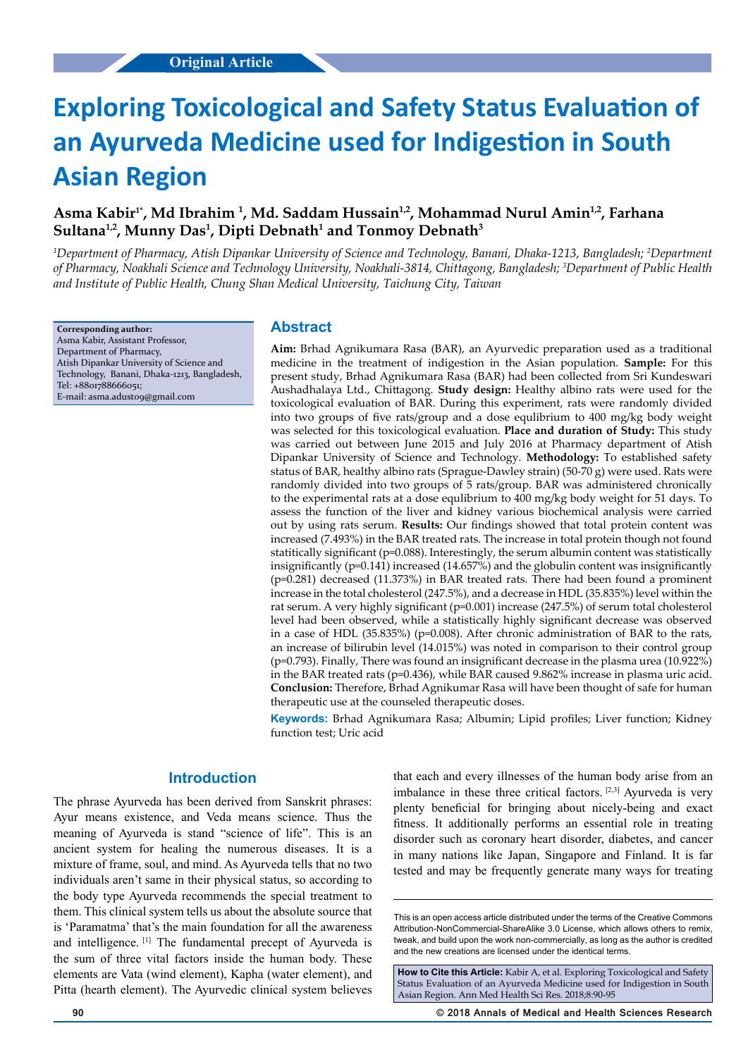# **Exploring Toxicological and Safety Status Evaluation of an Ayurveda Medicine used for Indigestion in South Asian Region**

# Asma Kabir<sup>1\*</sup>, Md Ibrahim <sup>1</sup>, Md. Saddam Hussain<sup>1,2</sup>, Mohammad Nurul Amin<sup>1,2</sup>, Farhana **Sultana1,2, Munny Das1 , Dipti Debnath1 and Tonmoy Debnath3**

*1 Department of Pharmacy, Atish Dipankar University of Science and Technology, Banani, Dhaka-1213, Bangladesh; 2 Department of Pharmacy, Noakhali Science and Technology University, Noakhali-3814, Chittagong, Bangladesh; 3 Department of Public Health and Institute of Public Health, Chung Shan Medical University, Taichung City, Taiwan*

**Corresponding author:** Asma Kabir, Assistant Professor, Department of Pharmacy, Atish Dipankar University of Science and Technology, Banani, Dhaka-1213, Bangladesh, Tel: +8801788666051; E-mail: [asma.adust09@gmail.com](mailto:asma.adust09@gmail.com)

## **Abstract**

**Aim:** Brhad Agnikumara Rasa (BAR), an Ayurvedic preparation used as a traditional medicine in the treatment of indigestion in the Asian population. **Sample:** For this present study, Brhad Agnikumara Rasa (BAR) had been collected from Sri Kundeswari Aushadhalaya Ltd., Chittagong. **Study design:** Healthy albino rats were used for the toxicological evaluation of BAR. During this experiment, rats were randomly divided into two groups of five rats/group and a dose equlibrium to 400 mg/kg body weight was selected for this toxicological evaluation. **Place and duration of Study:** This study was carried out between June 2015 and July 2016 at Pharmacy department of Atish Dipankar University of Science and Technology. **Methodology:** To established safety status of BAR, healthy albino rats (Sprague-Dawley strain) (50-70 g) were used. Rats were randomly divided into two groups of 5 rats/group. BAR was administered chronically to the experimental rats at a dose equlibrium to 400 mg/kg body weight for 51 days. To assess the function of the liver and kidney various biochemical analysis were carried out by using rats serum. **Results:** Our findings showed that total protein content was increased (7.493%) in the BAR treated rats. The increase in total protein though not found statitically significant (p=0.088). Interestingly, the serum albumin content was statistically insignificantly (p=0.141) increased (14.657%) and the globulin content was insignificantly (p=0.281) decreased (11.373%) in BAR treated rats. There had been found a prominent increase in the total cholesterol (247.5%), and a decrease in HDL (35.835%) level within the rat serum. A very highly significant (p=0.001) increase (247.5%) of serum total cholesterol level had been observed, while a statistically highly significant decrease was observed in a case of HDL  $(35.835%)$  (p=0.008). After chronic administration of BAR to the rats, an increase of bilirubin level (14.015%) was noted in comparison to their control group (p=0.793). Finally, There was found an insignificant decrease in the plasma urea (10.922%) in the BAR treated rats (p=0.436), while BAR caused 9.862% increase in plasma uric acid. **Conclusion:** Therefore, Brhad Agnikumar Rasa will have been thought of safe for human therapeutic use at the counseled therapeutic doses.

**Keywords:** Brhad Agnikumara Rasa; Albumin; Lipid profiles; Liver function; Kidney function test; Uric acid

## **Introduction**

The phrase Ayurveda has been derived from Sanskrit phrases: Ayur means existence, and Veda means science. Thus the meaning of Ayurveda is stand "science of life". This is an ancient system for healing the numerous diseases. It is a mixture of frame, soul, and mind. As Ayurveda tells that no two individuals aren't same in their physical status, so according to the body type Ayurveda recommends the special treatment to them. This clinical system tells us about the absolute source that is 'Paramatma' that's the main foundation for all the awareness and intelligence. [1] The fundamental precept of Ayurveda is the sum of three vital factors inside the human body. These elements are Vata (wind element), Kapha (water element), and Pitta (hearth element). The Ayurvedic clinical system believes

that each and every illnesses of the human body arise from an imbalance in these three critical factors. [2,3] Ayurveda is very plenty beneficial for bringing about nicely-being and exact fitness. It additionally performs an essential role in treating disorder such as coronary heart disorder, diabetes, and cancer in many nations like Japan, Singapore and Finland. It is far tested and may be frequently generate many ways for treating

**How to Cite this Article:** Kabir A, et al. Exploring Toxicological and Safety Status Evaluation of an Ayurveda Medicine used for Indigestion in South Asian Region. Ann Med Health Sci Res. 2018;8:90-95

**90 © 2018 Annals of Medical and Health Sciences Research** 

This is an open access article distributed under the terms of the Creative Commons Attribution-NonCommercial-ShareAlike 3.0 License, which allows others to remix, tweak, and build upon the work non‑commercially, as long as the author is credited and the new creations are licensed under the identical terms.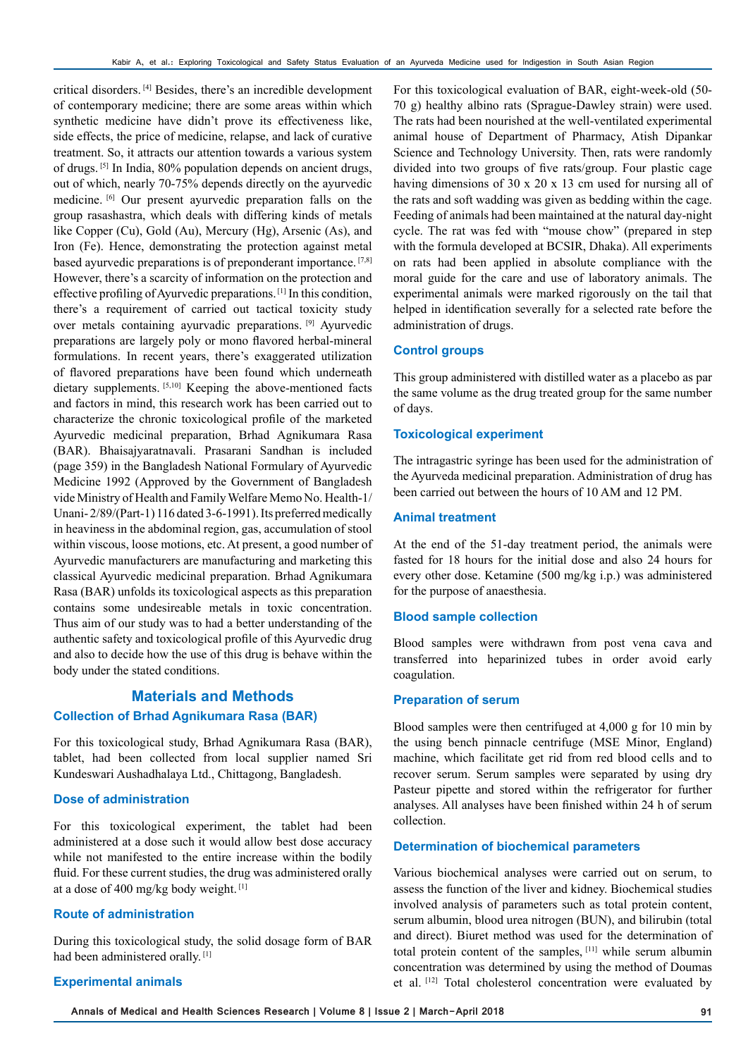critical disorders. [4] Besides, there's an incredible development of contemporary medicine; there are some areas within which synthetic medicine have didn't prove its effectiveness like, side effects, the price of medicine, relapse, and lack of curative treatment. So, it attracts our attention towards a various system of drugs. [5] In India, 80% population depends on ancient drugs, out of which, nearly 70-75% depends directly on the ayurvedic medicine. [6] Our present ayurvedic preparation falls on the group rasashastra, which deals with differing kinds of metals like Copper (Cu), Gold (Au), Mercury (Hg), Arsenic (As), and Iron (Fe). Hence, demonstrating the protection against metal based ayurvedic preparations is of preponderant importance. [7,8] However, there's a scarcity of information on the protection and effective profiling of Ayurvedic preparations. [1] In this condition, there's a requirement of carried out tactical toxicity study over metals containing ayurvadic preparations. [9] Ayurvedic preparations are largely poly or mono flavored herbal-mineral formulations. In recent years, there's exaggerated utilization of flavored preparations have been found which underneath dietary supplements. [5,10] Keeping the above-mentioned facts and factors in mind, this research work has been carried out to characterize the chronic toxicological profile of the marketed Ayurvedic medicinal preparation, Brhad Agnikumara Rasa (BAR). Bhaisajyaratnavali. Prasarani Sandhan is included (page 359) in the Bangladesh National Formulary of Ayurvedic Medicine 1992 (Approved by the Government of Bangladesh vide Ministry of Health and Family Welfare Memo No. Health-1/ Unani- 2/89/(Part-1) 116 dated 3-6-1991). Its preferred medically in heaviness in the abdominal region, gas, accumulation of stool within viscous, loose motions, etc. At present, a good number of Ayurvedic manufacturers are manufacturing and marketing this classical Ayurvedic medicinal preparation. Brhad Agnikumara Rasa (BAR) unfolds its toxicological aspects as this preparation contains some undesireable metals in toxic concentration. Thus aim of our study was to had a better understanding of the authentic safety and toxicological profile of this Ayurvedic drug and also to decide how the use of this drug is behave within the body under the stated conditions.

## **Materials and Methods Collection of Brhad Agnikumara Rasa (BAR)**

For this toxicological study, Brhad Agnikumara Rasa (BAR), tablet, had been collected from local supplier named Sri Kundeswari Aushadhalaya Ltd., Chittagong, Bangladesh.

#### **Dose of administration**

For this toxicological experiment, the tablet had been administered at a dose such it would allow best dose accuracy while not manifested to the entire increase within the bodily fluid. For these current studies, the drug was administered orally at a dose of 400 mg/kg body weight. [1]

#### **Route of administration**

During this toxicological study, the solid dosage form of BAR had been administered orally.<sup>[1]</sup>

For this toxicological evaluation of BAR, eight-week-old (50- 70 g) healthy albino rats (Sprague-Dawley strain) were used. The rats had been nourished at the well-ventilated experimental animal house of Department of Pharmacy, Atish Dipankar Science and Technology University. Then, rats were randomly divided into two groups of five rats/group. Four plastic cage having dimensions of 30 x 20 x 13 cm used for nursing all of the rats and soft wadding was given as bedding within the cage. Feeding of animals had been maintained at the natural day-night cycle. The rat was fed with "mouse chow" (prepared in step with the formula developed at BCSIR, Dhaka). All experiments on rats had been applied in absolute compliance with the moral guide for the care and use of laboratory animals. The experimental animals were marked rigorously on the tail that helped in identification severally for a selected rate before the administration of drugs.

#### **Control groups**

This group administered with distilled water as a placebo as par the same volume as the drug treated group for the same number of days.

#### **Toxicological experiment**

The intragastric syringe has been used for the administration of the Ayurveda medicinal preparation. Administration of drug has been carried out between the hours of 10 AM and 12 PM.

#### **Animal treatment**

At the end of the 51-day treatment period, the animals were fasted for 18 hours for the initial dose and also 24 hours for every other dose. Ketamine (500 mg/kg i.p.) was administered for the purpose of anaesthesia.

#### **Blood sample collection**

Blood samples were withdrawn from post vena cava and transferred into heparinized tubes in order avoid early coagulation.

#### **Preparation of serum**

Blood samples were then centrifuged at 4,000 g for 10 min by the using bench pinnacle centrifuge (MSE Minor, England) machine, which facilitate get rid from red blood cells and to recover serum. Serum samples were separated by using dry Pasteur pipette and stored within the refrigerator for further analyses. All analyses have been finished within 24 h of serum collection.

## **Determination of biochemical parameters**

Various biochemical analyses were carried out on serum, to assess the function of the liver and kidney. Biochemical studies involved analysis of parameters such as total protein content, serum albumin, blood urea nitrogen (BUN), and bilirubin (total and direct). Biuret method was used for the determination of total protein content of the samples, [11] while serum albumin concentration was determined by using the method of Doumas et al. [12] Total cholesterol concentration were evaluated by

#### **Experimental animals**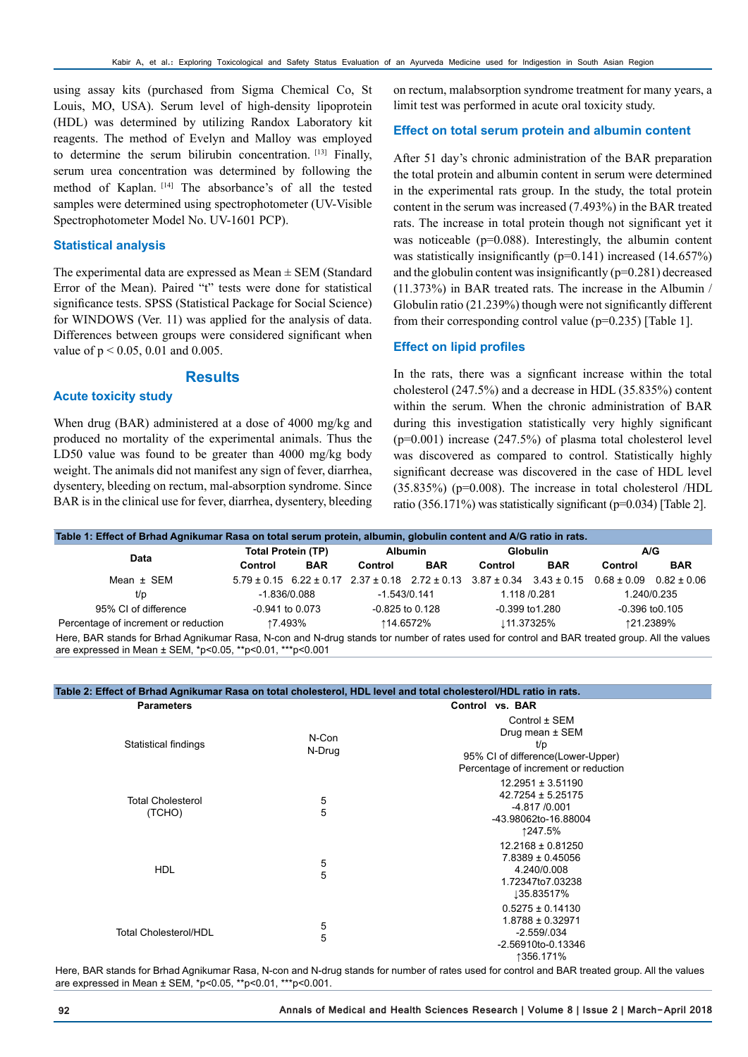using assay kits (purchased from Sigma Chemical Co, St Louis, MO, USA). Serum level of high-density lipoprotein (HDL) was determined by utilizing Randox Laboratory kit reagents. The method of Evelyn and Malloy was employed to determine the serum bilirubin concentration. [13] Finally, serum urea concentration was determined by following the method of Kaplan. [14] The absorbance's of all the tested samples were determined using spectrophotometer (UV-Visible Spectrophotometer Model No. UV-1601 PCP).

#### **Statistical analysis**

The experimental data are expressed as Mean ± SEM (Standard Error of the Mean). Paired "t" tests were done for statistical significance tests. SPSS (Statistical Package for Social Science) for WINDOWS (Ver. 11) was applied for the analysis of data. Differences between groups were considered significant when value of p < 0.05, 0.01 and 0.005.

## **Results**

#### **Acute toxicity study**

When drug (BAR) administered at a dose of 4000 mg/kg and produced no mortality of the experimental animals. Thus the LD50 value was found to be greater than 4000 mg/kg body weight. The animals did not manifest any sign of fever, diarrhea, dysentery, bleeding on rectum, mal-absorption syndrome. Since BAR is in the clinical use for fever, diarrhea, dysentery, bleeding

on rectum, malabsorption syndrome treatment for many years, a limit test was performed in acute oral toxicity study.

#### **Effect on total serum protein and albumin content**

After 51 day's chronic administration of the BAR preparation the total protein and albumin content in serum were determined in the experimental rats group. In the study, the total protein content in the serum was increased (7.493%) in the BAR treated rats. The increase in total protein though not significant yet it was noticeable (p=0.088). Interestingly, the albumin content was statistically insignificantly (p=0.141) increased (14.657%) and the globulin content was insignificantly (p=0.281) decreased (11.373%) in BAR treated rats. The increase in the Albumin / Globulin ratio (21.239%) though were not significantly different from their corresponding control value (p=0.235) [Table 1].

#### **Effect on lipid profiles**

In the rats, there was a signficant increase within the total cholesterol (247.5%) and a decrease in HDL (35.835%) content within the serum. When the chronic administration of BAR during this investigation statistically very highly significant (p=0.001) increase (247.5%) of plasma total cholesterol level was discovered as compared to control. Statistically highly significant decrease was discovered in the case of HDL level (35.835%) (p=0.008). The increase in total cholesterol /HDL ratio (356.171%) was statistically significant (p=0.034) [Table 2].

| Table 1: Effect of Brhad Agnikumar Rasa on total serum protein, albumin, globulin content and A/G ratio in rats.                                                                                                |                           |                     |                |                   |                                                                                                 |                     |                 |                     |
|-----------------------------------------------------------------------------------------------------------------------------------------------------------------------------------------------------------------|---------------------------|---------------------|----------------|-------------------|-------------------------------------------------------------------------------------------------|---------------------|-----------------|---------------------|
| Data                                                                                                                                                                                                            | <b>Total Protein (TP)</b> |                     | <b>Albumin</b> |                   | <b>Globulin</b>                                                                                 |                     | A/G             |                     |
|                                                                                                                                                                                                                 | Control                   | <b>BAR</b>          | Control        | <b>BAR</b>        | Control                                                                                         | <b>BAR</b>          | Control         | <b>BAR</b>          |
| Mean $\pm$ SEM                                                                                                                                                                                                  |                           |                     |                |                   | $5.79 \pm 0.15$ 6.22 $\pm$ 0.17 2.37 $\pm$ 0.18 2.72 $\pm$ 0.13 3.87 $\pm$ 0.34 3.43 $\pm$ 0.15 |                     | $0.68 \pm 0.09$ | $0.82 \pm 0.06$     |
| t/p                                                                                                                                                                                                             | $-1.836/0.088$            |                     |                | $-1.543/0.141$    |                                                                                                 | 1.118 /0.281        |                 | 1.240/0.235         |
| 95% CI of difference                                                                                                                                                                                            |                           | $-0.941$ to $0.073$ |                | $-0.825$ to 0.128 |                                                                                                 | $-0.399$ to $1.280$ |                 | $-0.396$ to $0.105$ |
| Percentage of increment or reduction                                                                                                                                                                            | ↑7.493%                   |                     | ↑14.6572%      |                   | ⊥11.37325%                                                                                      |                     | ↑21.2389%       |                     |
| Here, BAR stands for Brhad Agnikumar Rasa, N-con and N-drug stands tor number of rates used for control and BAR treated group. All the values<br>are expressed in Mean $\pm$ SEM, *p<0.05, **p<0.01, ***p<0.001 |                           |                     |                |                   |                                                                                                 |                     |                 |                     |

| Table 2: Effect of Brhad Agnikumar Rasa on total cholesterol, HDL level and total cholesterol/HDL ratio in rats. |                     |                                                                                                                      |
|------------------------------------------------------------------------------------------------------------------|---------------------|----------------------------------------------------------------------------------------------------------------------|
| <b>Parameters</b>                                                                                                |                     | Control vs. BAR                                                                                                      |
| Statistical findings                                                                                             | N-Con<br>N-Drug     | Control ± SEM<br>Drug mean ± SEM<br>t/p<br>95% CI of difference(Lower-Upper)<br>Percentage of increment or reduction |
| <b>Total Cholesterol</b><br>(TCHO)                                                                               | 5<br>$\overline{5}$ | $12.2951 \pm 3.51190$<br>$42.7254 \pm 5.25175$<br>-4.817 /0.001<br>-43.98062to-16.88004<br>↑247.5%                   |
| <b>HDL</b>                                                                                                       | 5<br>5              | $12.2168 \pm 0.81250$<br>7.8389 ± 0.45056<br>4.240/0.008<br>1.72347to7.03238<br>135.83517%                           |
| <b>Total Cholesterol/HDL</b>                                                                                     | 5<br>5              | $0.5275 \pm 0.14130$<br>$1.8788 \pm 0.32971$<br>$-2.559/034$<br>-2.56910to-0.13346<br>↑356.171%                      |

Here, BAR stands for Brhad Agnikumar Rasa, N-con and N-drug stands for number of rates used for control and BAR treated group. All the values are expressed in Mean ± SEM, \*p<0.05, \*\*p<0.01, \*\*\*p<0.001.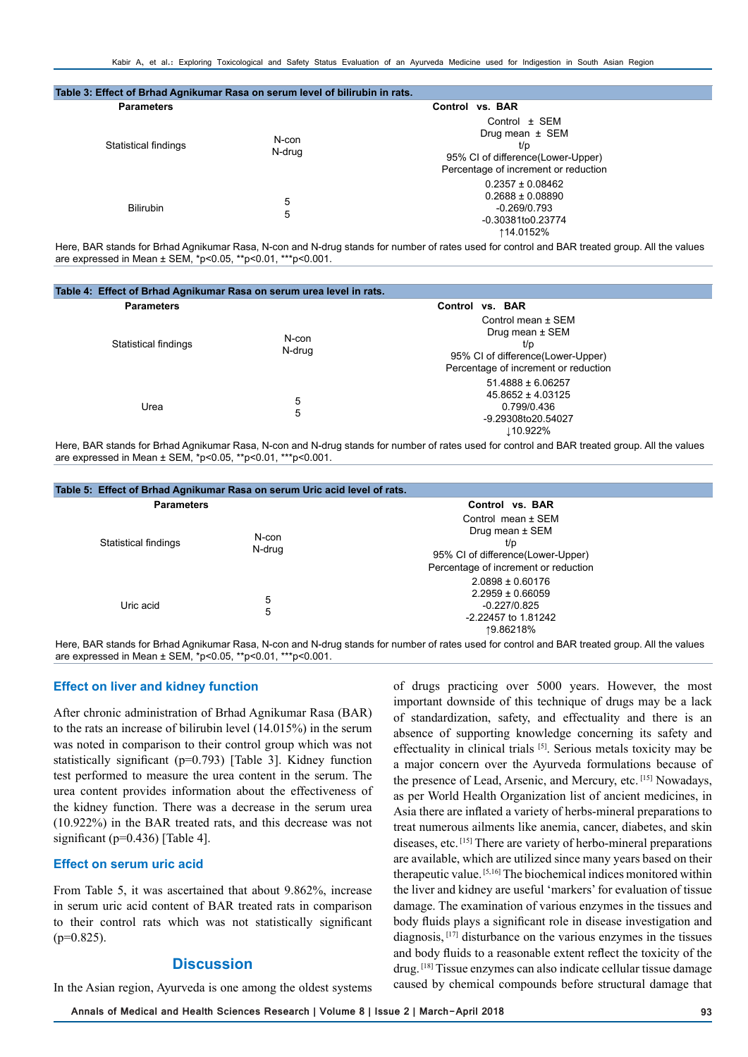| Table 3: Effect of Brhad Agnikumar Rasa on serum level of bilirubin in rats. |        |                                                                                                                              |  |  |
|------------------------------------------------------------------------------|--------|------------------------------------------------------------------------------------------------------------------------------|--|--|
| <b>Parameters</b>                                                            |        | Control vs. BAR                                                                                                              |  |  |
| N-con<br>Statistical findings<br>N-drug                                      |        | Control $\pm$ SEM<br>Drug mean $\pm$ SEM<br>t/p<br>95% CI of difference(Lower-Upper)<br>Percentage of increment or reduction |  |  |
| <b>Bilirubin</b>                                                             | 5<br>5 | $0.2357 \pm 0.08462$<br>$0.2688 \pm 0.08890$<br>-0.269/0.793<br>-0.30381to0.23774<br>↑14.0152%                               |  |  |

Here, BAR stands for Brhad Agnikumar Rasa, N-con and N-drug stands for number of rates used for control and BAR treated group. All the values are expressed in Mean ± SEM, \*p<0.05, \*\*p<0.01, \*\*\*p<0.001.

| Table 4: Effect of Brhad Agnikumar Rasa on serum urea level in rats. |                 |                                                                                                                           |  |
|----------------------------------------------------------------------|-----------------|---------------------------------------------------------------------------------------------------------------------------|--|
| <b>Parameters</b>                                                    |                 | Control vs. BAR                                                                                                           |  |
| Statistical findings                                                 | N-con<br>N-drug | Control mean ± SEM<br>Drug mean ± SEM<br>t/p<br>95% CI of difference(Lower-Upper)<br>Percentage of increment or reduction |  |
| Urea                                                                 | 5<br>5          | $51.4888 \pm 6.06257$<br>$45.8652 \pm 4.03125$<br>0.799/0.436<br>-9.29308to20.54027<br>⊥10.922%                           |  |

Here, BAR stands for Brhad Agnikumar Rasa, N-con and N-drug stands for number of rates used for control and BAR treated group. All the values are expressed in Mean ± SEM, \*p<0.05, \*\*p<0.01, \*\*\*p<0.001.

|                      | Table 5: Effect of Brhad Agnikumar Rasa on serum Uric acid level of rats. |                                                                                                                                   |  |  |
|----------------------|---------------------------------------------------------------------------|-----------------------------------------------------------------------------------------------------------------------------------|--|--|
| <b>Parameters</b>    |                                                                           | Control vs. BAR                                                                                                                   |  |  |
| Statistical findings | N-con<br>N-drug                                                           | Control mean $\pm$ SEM<br>Drug mean $\pm$ SEM<br>t/p<br>95% CI of difference(Lower-Upper)<br>Percentage of increment or reduction |  |  |
| Uric acid            | 5<br>5                                                                    | $2.0898 \pm 0.60176$<br>$2.2959 \pm 0.66059$<br>$-0.227/0.825$<br>-2.22457 to 1.81242<br>↑9.86218%                                |  |  |

Here, BAR stands for Brhad Agnikumar Rasa, N-con and N-drug stands for number of rates used for control and BAR treated group. All the values are expressed in Mean ± SEM, \*p<0.05, \*\*p<0.01, \*\*\*p<0.001.

#### **Effect on liver and kidney function**

After chronic administration of Brhad Agnikumar Rasa (BAR) to the rats an increase of bilirubin level (14.015%) in the serum was noted in comparison to their control group which was not statistically significant (p=0.793) [Table 3]. Kidney function test performed to measure the urea content in the serum. The urea content provides information about the effectiveness of the kidney function. There was a decrease in the serum urea (10.922%) in the BAR treated rats, and this decrease was not significant (p=0.436) [Table 4].

#### **Effect on serum uric acid**

From Table 5, it was ascertained that about 9.862%, increase in serum uric acid content of BAR treated rats in comparison to their control rats which was not statistically significant  $(p=0.825)$ .

## **Discussion**

In the Asian region, Ayurveda is one among the oldest systems

of drugs practicing over 5000 years. However, the most important downside of this technique of drugs may be a lack of standardization, safety, and effectuality and there is an absence of supporting knowledge concerning its safety and effectuality in clinical trials [5]. Serious metals toxicity may be a major concern over the Ayurveda formulations because of the presence of Lead, Arsenic, and Mercury, etc. [15] Nowadays, as per World Health Organization list of ancient medicines, in Asia there are inflated a variety of herbs-mineral preparations to treat numerous ailments like anemia, cancer, diabetes, and skin diseases, etc. [15] There are variety of herbo-mineral preparations are available, which are utilized since many years based on their therapeutic value. [5,16] The biochemical indices monitored within the liver and kidney are useful 'markers' for evaluation of tissue damage. The examination of various enzymes in the tissues and body fluids plays a significant role in disease investigation and diagnosis, [17] disturbance on the various enzymes in the tissues and body fluids to a reasonable extent reflect the toxicity of the drug. [18] Tissue enzymes can also indicate cellular tissue damage caused by chemical compounds before structural damage that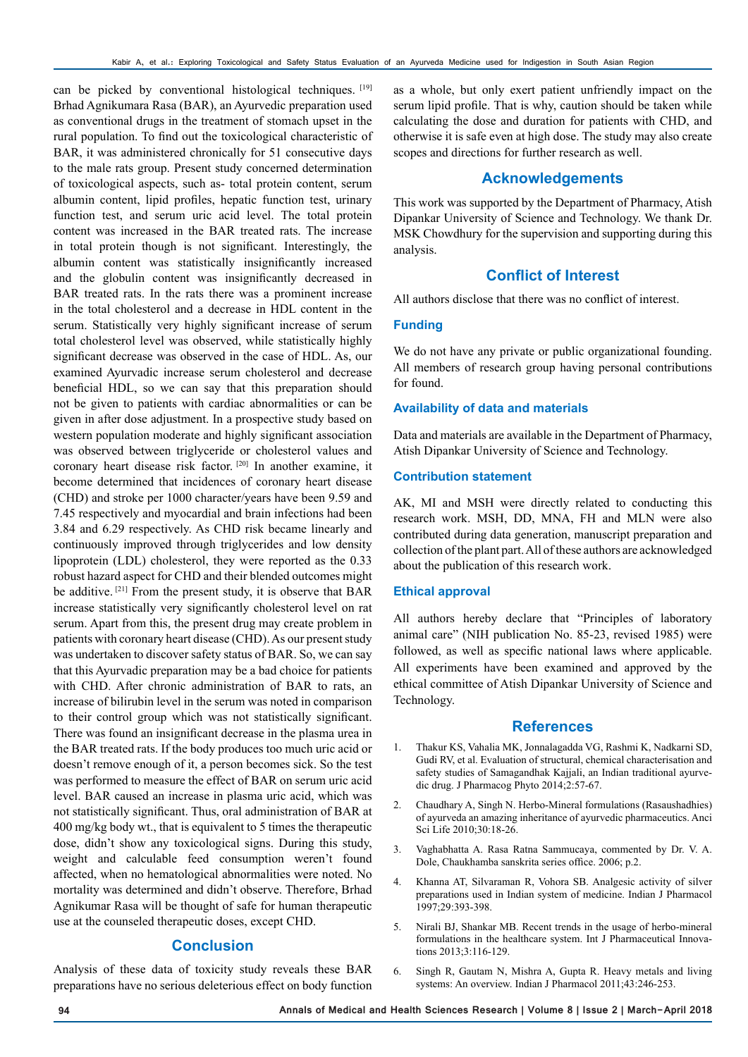can be picked by conventional histological techniques. [19] Brhad Agnikumara Rasa (BAR), an Ayurvedic preparation used as conventional drugs in the treatment of stomach upset in the rural population. To find out the toxicological characteristic of BAR, it was administered chronically for 51 consecutive days to the male rats group. Present study concerned determination of toxicological aspects, such as- total protein content, serum albumin content, lipid profiles, hepatic function test, urinary function test, and serum uric acid level. The total protein content was increased in the BAR treated rats. The increase in total protein though is not significant. Interestingly, the albumin content was statistically insignificantly increased and the globulin content was insignificantly decreased in BAR treated rats. In the rats there was a prominent increase in the total cholesterol and a decrease in HDL content in the serum. Statistically very highly significant increase of serum total cholesterol level was observed, while statistically highly significant decrease was observed in the case of HDL. As, our examined Ayurvadic increase serum cholesterol and decrease beneficial HDL, so we can say that this preparation should not be given to patients with cardiac abnormalities or can be given in after dose adjustment. In a prospective study based on western population moderate and highly significant association was observed between triglyceride or cholesterol values and coronary heart disease risk factor. [20] In another examine, it become determined that incidences of coronary heart disease (CHD) and stroke per 1000 character/years have been 9.59 and 7.45 respectively and myocardial and brain infections had been 3.84 and 6.29 respectively. As CHD risk became linearly and continuously improved through triglycerides and low density lipoprotein (LDL) cholesterol, they were reported as the 0.33 robust hazard aspect for CHD and their blended outcomes might be additive. [21] From the present study, it is observe that BAR increase statistically very significantly cholesterol level on rat serum. Apart from this, the present drug may create problem in patients with coronary heart disease (CHD). As our present study was undertaken to discover safety status of BAR. So, we can say that this Ayurvadic preparation may be a bad choice for patients with CHD. After chronic administration of BAR to rats, an increase of bilirubin level in the serum was noted in comparison to their control group which was not statistically significant. There was found an insignificant decrease in the plasma urea in the BAR treated rats. If the body produces too much uric acid or doesn't remove enough of it, a person becomes sick. So the test was performed to measure the effect of BAR on serum uric acid level. BAR caused an increase in plasma uric acid, which was not statistically significant. Thus, oral administration of BAR at 400 mg/kg body wt., that is equivalent to 5 times the therapeutic dose, didn't show any toxicological signs. During this study, weight and calculable feed consumption weren't found affected, when no hematological abnormalities were noted. No mortality was determined and didn't observe. Therefore, Brhad Agnikumar Rasa will be thought of safe for human therapeutic use at the counseled therapeutic doses, except CHD.

## **Conclusion**

Analysis of these data of toxicity study reveals these BAR preparations have no serious deleterious effect on body function

as a whole, but only exert patient unfriendly impact on the serum lipid profile. That is why, caution should be taken while calculating the dose and duration for patients with CHD, and otherwise it is safe even at high dose. The study may also create scopes and directions for further research as well.

## **Acknowledgements**

This work was supported by the Department of Pharmacy, Atish Dipankar University of Science and Technology. We thank Dr. MSK Chowdhury for the supervision and supporting during this analysis.

## **Conflict of Interest**

All authors disclose that there was no conflict of interest.

## **Funding**

We do not have any private or public organizational founding. All members of research group having personal contributions for found.

#### **Availability of data and materials**

Data and materials are available in the Department of Pharmacy, Atish Dipankar University of Science and Technology.

#### **Contribution statement**

AK, MI and MSH were directly related to conducting this research work. MSH, DD, MNA, FH and MLN were also contributed during data generation, manuscript preparation and collection of the plant part. All of these authors are acknowledged about the publication of this research work.

#### **Ethical approval**

All authors hereby declare that "Principles of laboratory animal care" (NIH publication No. 85-23, revised 1985) were followed, as well as specific national laws where applicable. All experiments have been examined and approved by the ethical committee of Atish Dipankar University of Science and Technology.

## **References**

- 1. Thakur KS, Vahalia MK, Jonnalagadda VG, Rashmi K, Nadkarni SD, Gudi RV, et al. Evaluation of structural, chemical characterisation and safety studies of Samagandhak Kajjali, an Indian traditional ayurvedic drug. J Pharmacog Phyto 2014;2:57-67.
- 2. Chaudhary A, Singh N. Herbo-Mineral formulations (Rasaushadhies) of ayurveda an amazing inheritance of ayurvedic pharmaceutics. Anci Sci Life 2010;30:18-26.
- 3. Vaghabhatta A. Rasa Ratna Sammucaya, commented by Dr. V. A. Dole, Chaukhamba sanskrita series office. 2006; p.2.
- 4. Khanna AT, Silvaraman R, Vohora SB. Analgesic activity of silver preparations used in Indian system of medicine. Indian J Pharmacol 1997;29:393-398.
- 5. Nirali BJ, Shankar MB. Recent trends in the usage of herbo-mineral formulations in the healthcare system. Int J Pharmaceutical Innovations 2013;3:116-129.
- 6. Singh R, Gautam N, Mishra A, Gupta R. Heavy metals and living systems: An overview. Indian J Pharmacol 2011;43:246-253.